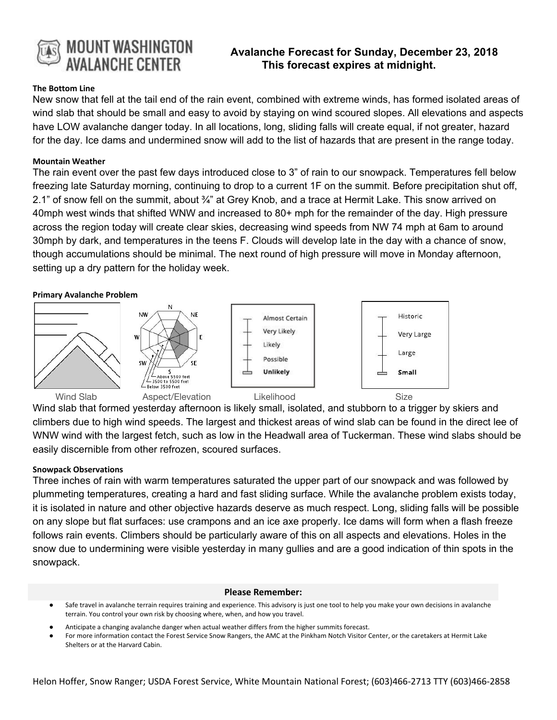

# **Avalanche Forecast for Sunday, December 23, 2018 This forecast expires at midnight.**

## **The Bottom Line**

New snow that fell at the tail end of the rain event, combined with extreme winds, has formed isolated areas of wind slab that should be small and easy to avoid by staying on wind scoured slopes. All elevations and aspects have LOW avalanche danger today. In all locations, long, sliding falls will create equal, if not greater, hazard for the day. Ice dams and undermined snow will add to the list of hazards that are present in the range today.

## **Mountain Weather**

The rain event over the past few days introduced close to 3" of rain to our snowpack. Temperatures fell below freezing late Saturday morning, continuing to drop to a current 1F on the summit. Before precipitation shut off, 2.1" of snow fell on the summit, about 3/4" at Grey Knob, and a trace at Hermit Lake. This snow arrived on 40mph west winds that shifted WNW and increased to 80+ mph for the remainder of the day. High pressure across the region today will create clear skies, decreasing wind speeds from NW 74 mph at 6am to around 30mph by dark, and temperatures in the teens F. Clouds will develop late in the day with a chance of snow, though accumulations should be minimal. The next round of high pressure will move in Monday afternoon, setting up a dry pattern for the holiday week.

## **Primary Avalanche Problem**



Wind slab that formed yesterday afternoon is likely small, isolated, and stubborn to a trigger by skiers and climbers due to high wind speeds. The largest and thickest areas of wind slab can be found in the direct lee of WNW wind with the largest fetch, such as low in the Headwall area of Tuckerman. These wind slabs should be easily discernible from other refrozen, scoured surfaces.

#### **Snowpack Observations**

Three inches of rain with warm temperatures saturated the upper part of our snowpack and was followed by plummeting temperatures, creating a hard and fast sliding surface. While the avalanche problem exists today, it is isolated in nature and other objective hazards deserve as much respect. Long, sliding falls will be possible on any slope but flat surfaces: use crampons and an ice axe properly. Ice dams will form when a flash freeze follows rain events. Climbers should be particularly aware of this on all aspects and elevations. Holes in the snow due to undermining were visible yesterday in many gullies and are a good indication of thin spots in the snowpack.

#### **Please Remember:**

- Safe travel in avalanche terrain requires training and experience. This advisory is just one tool to help you make your own decisions in avalanche terrain. You control your own risk by choosing where, when, and how you travel.
- Anticipate a changing avalanche danger when actual weather differs from the higher summits forecast.
- For more information contact the Forest Service Snow Rangers, the AMC at the Pinkham Notch Visitor Center, or the caretakers at Hermit Lake Shelters or at the Harvard Cabin.